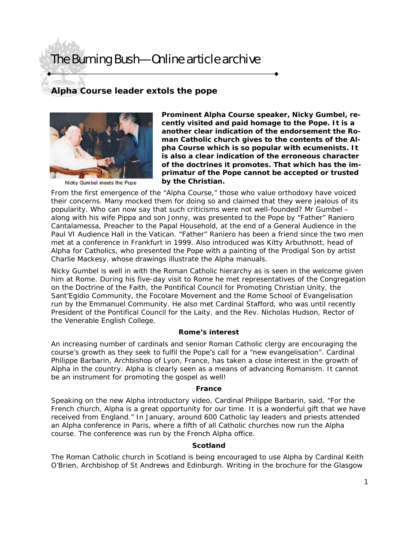# The Burning Bush—Online article archive

### **Alpha Course leader extols the pope**



Nicky Gumbel meets the Pope

**Prominent Alpha Course speaker, Nicky Gumbel, recently visited and paid homage to the Pope. It is a another clear indication of the endorsement the Roman Catholic church gives to the contents of the Alpha Course which is so popular with ecumenists. It is also a clear indication of the erroneous character of the doctrines it promotes. That which has the imprimatur of the Pope cannot be accepted or trusted by the Christian.** 

From the first emergence of the "Alpha Course," those who value orthodoxy have voiced their concerns. Many mocked them for doing so and claimed that they were jealous of its popularity. Who can now say that such criticisms were not well-founded? Mr Gumbel – along with his wife Pippa and son Jonny, was presented to the Pope by "Father" Raniero Cantalamessa, Preacher to the Papal Household, at the end of a General Audience in the Paul VI Audience Hall in the Vatican. "Father" Raniero has been a friend since the two men met at a conference in Frankfurt in 1999. Also introduced was Kitty Arbuthnott, head of Alpha for Catholics, who presented the Pope with a painting of the Prodigal Son by artist Charlie Mackesy, whose drawings illustrate the Alpha manuals.

Nicky Gumbel is well in with the Roman Catholic hierarchy as is seen in the welcome given him at Rome. During his five-day visit to Rome he met representatives of the Congregation on the Doctrine of the Faith, the Pontifical Council for Promoting Christian Unity, the Sant'Egidio Community, the Focolare Movement and the Rome School of Evangelisation run by the Emmanuel Community. He also met Cardinal Stafford, who was until recently President of the Pontifical Council for the Laity, and the Rev. Nicholas Hudson, Rector of the Venerable English College.

#### **Rome's interest**

An increasing number of cardinals and senior Roman Catholic clergy are encouraging the course's growth as they seek to fulfil the Pope's call for a "new evangelisation". Cardinal Philippe Barbarin, Archbishop of Lyon, France, has taken a close interest in the growth of Alpha in the country. Alpha is clearly seen as a means of advancing Romanism. It cannot be an instrument for promoting the gospel as well!

#### **France**

Speaking on the new Alpha introductory video, Cardinal Philippe Barbarin, said, "For the French church, Alpha is a great opportunity for our time. It is a wonderful gift that we have received from England." In January, around 600 Catholic lay leaders and priests attended an Alpha conference in Paris, where a fifth of all Catholic churches now run the Alpha course. The conference was run by the French Alpha office.

#### **Scotland**

The Roman Catholic church in Scotland is being encouraged to use Alpha by Cardinal Keith O'Brien, Archbishop of St Andrews and Edinburgh. Writing in the brochure for the Glasgow